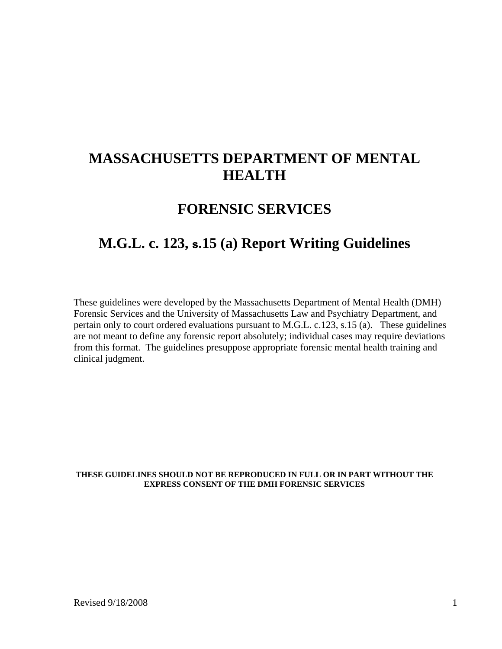# **MASSACHUSETTS DEPARTMENT OF MENTAL HEALTH**

## **FORENSIC SERVICES**

# **M.G.L. c. 123, s.15 (a) Report Writing Guidelines**

These guidelines were developed by the Massachusetts Department of Mental Health (DMH) Forensic Services and the University of Massachusetts Law and Psychiatry Department, and pertain only to court ordered evaluations pursuant to M.G.L. c.123, s.15 (a). These guidelines are not meant to define any forensic report absolutely; individual cases may require deviations from this format. The guidelines presuppose appropriate forensic mental health training and clinical judgment.

#### **THESE GUIDELINES SHOULD NOT BE REPRODUCED IN FULL OR IN PART WITHOUT THE EXPRESS CONSENT OF THE DMH FORENSIC SERVICES**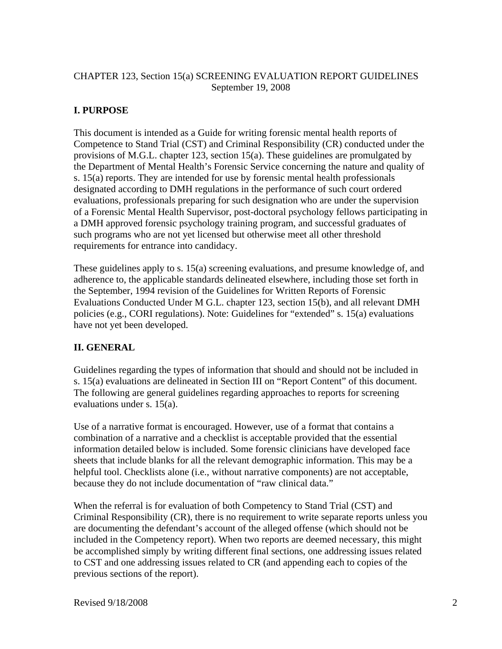### CHAPTER 123, Section 15(a) SCREENING EVALUATION REPORT GUIDELINES September 19, 2008

### **I. PURPOSE**

This document is intended as a Guide for writing forensic mental health reports of Competence to Stand Trial (CST) and Criminal Responsibility (CR) conducted under the provisions of M.G.L. chapter 123, section 15(a). These guidelines are promulgated by the Department of Mental Health's Forensic Service concerning the nature and quality of s. 15(a) reports. They are intended for use by forensic mental health professionals designated according to DMH regulations in the performance of such court ordered evaluations, professionals preparing for such designation who are under the supervision of a Forensic Mental Health Supervisor, post-doctoral psychology fellows participating in a DMH approved forensic psychology training program, and successful graduates of such programs who are not yet licensed but otherwise meet all other threshold requirements for entrance into candidacy.

These guidelines apply to s. 15(a) screening evaluations, and presume knowledge of, and adherence to, the applicable standards delineated elsewhere, including those set forth in the September, 1994 revision of the Guidelines for Written Reports of Forensic Evaluations Conducted Under M G.L. chapter 123, section 15(b), and all relevant DMH policies (e.g., CORI regulations). Note: Guidelines for "extended" s. 15(a) evaluations have not yet been developed.

### **II. GENERAL**

Guidelines regarding the types of information that should and should not be included in s. 15(a) evaluations are delineated in Section III on "Report Content" of this document. The following are general guidelines regarding approaches to reports for screening evaluations under s. 15(a).

Use of a narrative format is encouraged. However, use of a format that contains a combination of a narrative and a checklist is acceptable provided that the essential information detailed below is included. Some forensic clinicians have developed face sheets that include blanks for all the relevant demographic information. This may be a helpful tool. Checklists alone (i.e., without narrative components) are not acceptable, because they do not include documentation of "raw clinical data."

When the referral is for evaluation of both Competency to Stand Trial (CST) and Criminal Responsibility (CR), there is no requirement to write separate reports unless you are documenting the defendant's account of the alleged offense (which should not be included in the Competency report). When two reports are deemed necessary, this might be accomplished simply by writing different final sections, one addressing issues related to CST and one addressing issues related to CR (and appending each to copies of the previous sections of the report).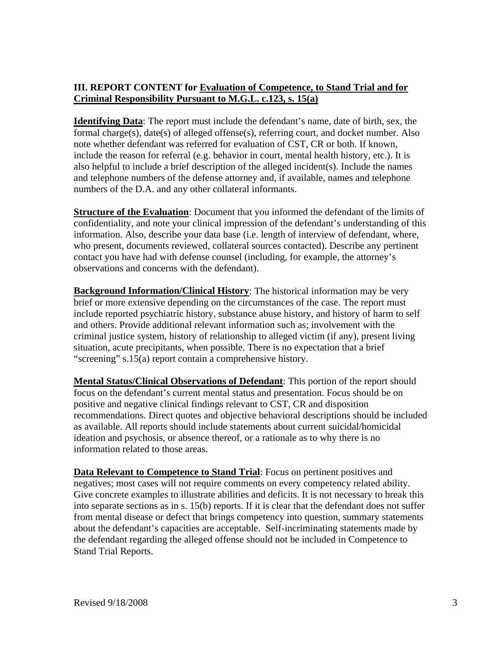### **III. REPORT CONTENT for Evaluation of Competence, to Stand Trial and for Criminal Responsibility Pursuant to M.G.L. c.123, s. 15(a)**

**Identifying Data**: The report must include the defendant's name, date of birth, sex, the formal charge(s), date(s) of alleged offense(s), referring court, and docket number. Also note whether defendant was referred for evaluation of CST, CR or both. If known, include the reason for referral (e.g. behavior in court, mental health history, etc.). It is also helpful to include a brief description of the alleged incident(s). Include the names and telephone numbers of the defense attorney and, if available, names and telephone numbers of the D.A. and any other collateral informants.

**Structure of the Evaluation**: Document that you informed the defendant of the limits of confidentiality, and note your clinical impression of the defendant's understanding of this information. Also, describe your data base (i.e. length of interview of defendant, where, who present, documents reviewed, collateral sources contacted). Describe any pertinent contact you have had with defense counsel (including, for example, the attorney's observations and concerns with the defendant).

**Background Information/Clinical History**: The historical information may be very brief or more extensive depending on the circumstances of the case. The report must include reported psychiatric history, substance abuse history, and history of harm to self and others. Provide additional relevant information such as; involvement with the criminal justice system, history of relationship to alleged victim (if any), present living situation, acute precipitants, when possible. There is no expectation that a brief "screening" s.15(a) report contain a comprehensive history.

**Mental Status/Clinical Observations of Defendant**: This portion of the report should focus on the defendant's current mental status and presentation. Focus should be on positive and negative clinical findings relevant to CST, CR and disposition recommendations. Direct quotes and objective behavioral descriptions should be included as available. All reports should include statements about current suicidal/homicidal ideation and psychosis, or absence thereof, or a rationale as to why there is no information related to those areas.

**Data Relevant to Competence to Stand Trial**: Focus on pertinent positives and negatives; most cases will not require comments on every competency related ability. Give concrete examples to illustrate abilities and deficits. It is not necessary to break this into separate sections as in s. 15(b) reports. If it is clear that the defendant does not suffer from mental disease or defect that brings competency into question, summary statements about the defendant's capacities are acceptable. Self-incriminating statements made by the defendant regarding the alleged offense should not be included in Competence to Stand Trial Reports.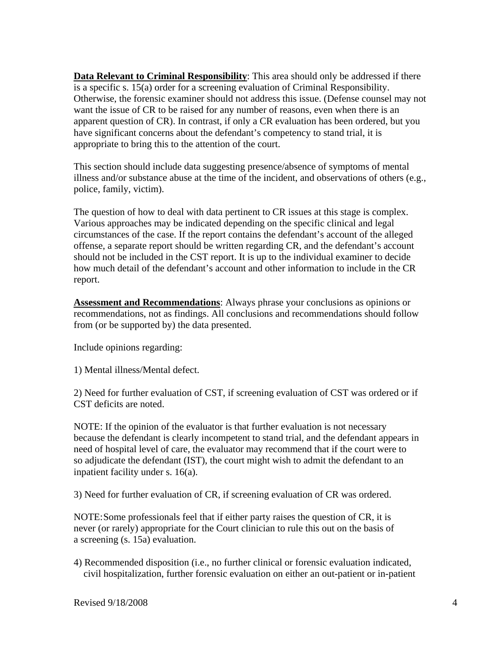**Data Relevant to Criminal Responsibility**: This area should only be addressed if there is a specific s. 15(a) order for a screening evaluation of Criminal Responsibility. Otherwise, the forensic examiner should not address this issue. (Defense counsel may not want the issue of CR to be raised for any number of reasons, even when there is an apparent question of CR). In contrast, if only a CR evaluation has been ordered, but you have significant concerns about the defendant's competency to stand trial, it is appropriate to bring this to the attention of the court.

This section should include data suggesting presence/absence of symptoms of mental illness and/or substance abuse at the time of the incident, and observations of others (e.g., police, family, victim).

The question of how to deal with data pertinent to CR issues at this stage is complex. Various approaches may be indicated depending on the specific clinical and legal circumstances of the case. If the report contains the defendant's account of the alleged offense, a separate report should be written regarding CR, and the defendant's account should not be included in the CST report. It is up to the individual examiner to decide how much detail of the defendant's account and other information to include in the CR report.

**Assessment and Recommendations**: Always phrase your conclusions as opinions or recommendations, not as findings. All conclusions and recommendations should follow from (or be supported by) the data presented.

Include opinions regarding:

1) Mental illness/Mental defect.

2) Need for further evaluation of CST, if screening evaluation of CST was ordered or if CST deficits are noted.

NOTE: If the opinion of the evaluator is that further evaluation is not necessary because the defendant is clearly incompetent to stand trial, and the defendant appears in need of hospital level of care, the evaluator may recommend that if the court were to so adjudicate the defendant (IST), the court might wish to admit the defendant to an inpatient facility under s. 16(a).

3) Need for further evaluation of CR, if screening evaluation of CR was ordered.

NOTE: Some professionals feel that if either party raises the question of CR, it is never (or rarely) appropriate for the Court clinician to rule this out on the basis of a screening (s. 15a) evaluation.

4) Recommended disposition (i.e., no further clinical or forensic evaluation indicated, civil hospitalization, further forensic evaluation on either an out-patient or in-patient